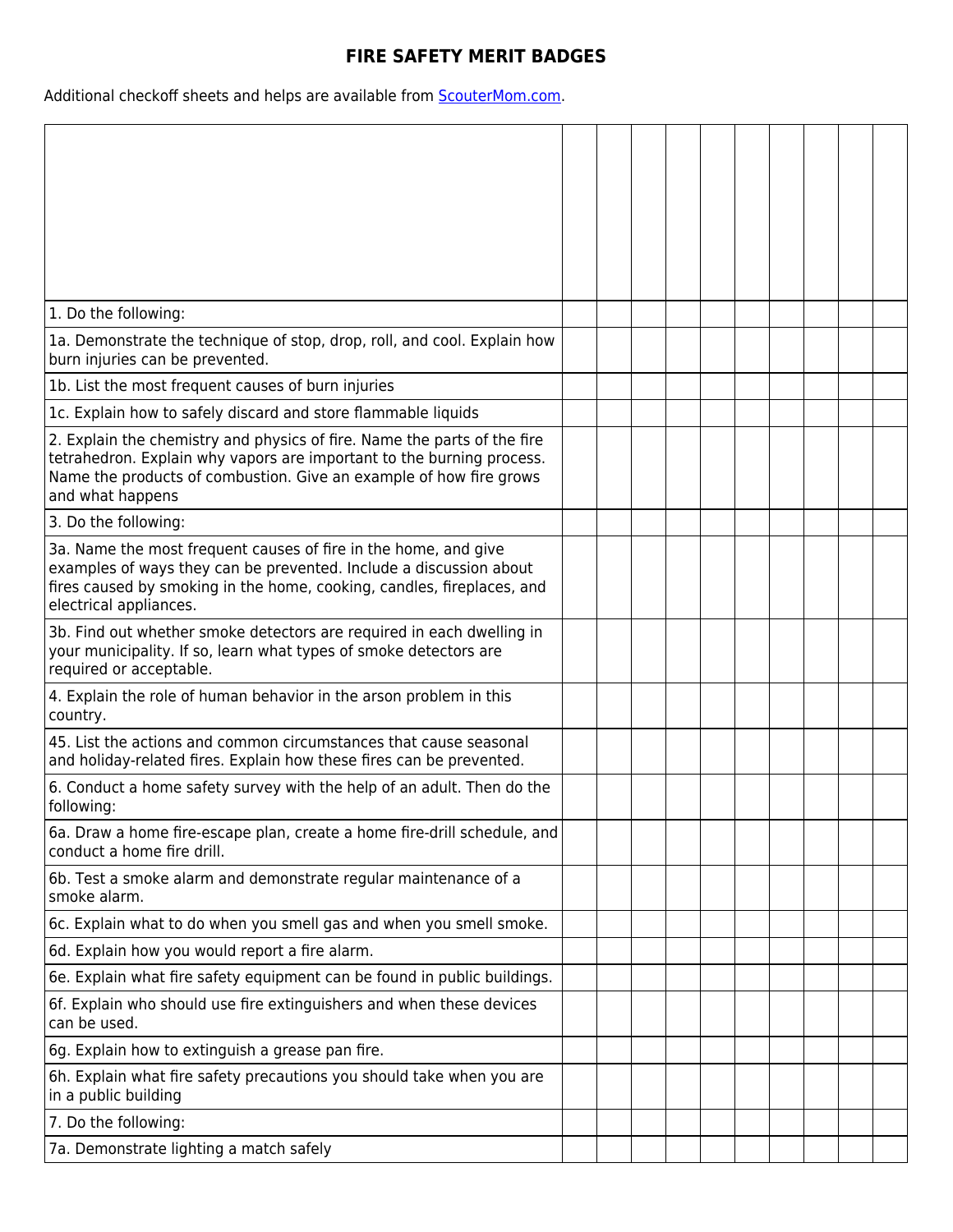## **FIRE SAFETY MERIT BADGES**

Additional checkoff sheets and helps are available from **ScouterMom.com**.

| 1. Do the following:                                                                                                                                                                                                                        |  |  |  |  |  |
|---------------------------------------------------------------------------------------------------------------------------------------------------------------------------------------------------------------------------------------------|--|--|--|--|--|
| 1a. Demonstrate the technique of stop, drop, roll, and cool. Explain how<br>burn injuries can be prevented.                                                                                                                                 |  |  |  |  |  |
| 1b. List the most frequent causes of burn injuries                                                                                                                                                                                          |  |  |  |  |  |
| 1c. Explain how to safely discard and store flammable liquids                                                                                                                                                                               |  |  |  |  |  |
| 2. Explain the chemistry and physics of fire. Name the parts of the fire<br>tetrahedron. Explain why vapors are important to the burning process.<br>Name the products of combustion. Give an example of how fire grows<br>and what happens |  |  |  |  |  |
| 3. Do the following:                                                                                                                                                                                                                        |  |  |  |  |  |
| 3a. Name the most frequent causes of fire in the home, and give<br>examples of ways they can be prevented. Include a discussion about<br>fires caused by smoking in the home, cooking, candles, fireplaces, and<br>electrical appliances.   |  |  |  |  |  |
| 3b. Find out whether smoke detectors are required in each dwelling in<br>your municipality. If so, learn what types of smoke detectors are<br>required or acceptable.                                                                       |  |  |  |  |  |
| 4. Explain the role of human behavior in the arson problem in this<br>country.                                                                                                                                                              |  |  |  |  |  |
| 45. List the actions and common circumstances that cause seasonal<br>and holiday-related fires. Explain how these fires can be prevented.                                                                                                   |  |  |  |  |  |
| 6. Conduct a home safety survey with the help of an adult. Then do the<br>following:                                                                                                                                                        |  |  |  |  |  |
| 6a. Draw a home fire-escape plan, create a home fire-drill schedule, and<br>conduct a home fire drill.                                                                                                                                      |  |  |  |  |  |
| 6b. Test a smoke alarm and demonstrate regular maintenance of a<br>smoke alarm.                                                                                                                                                             |  |  |  |  |  |
| 6c. Explain what to do when you smell gas and when you smell smoke.                                                                                                                                                                         |  |  |  |  |  |
| 6d. Explain how you would report a fire alarm.                                                                                                                                                                                              |  |  |  |  |  |
| 6e. Explain what fire safety equipment can be found in public buildings.                                                                                                                                                                    |  |  |  |  |  |
| 6f. Explain who should use fire extinguishers and when these devices<br>can be used.                                                                                                                                                        |  |  |  |  |  |
| 6g. Explain how to extinguish a grease pan fire.                                                                                                                                                                                            |  |  |  |  |  |
| 6h. Explain what fire safety precautions you should take when you are<br>in a public building                                                                                                                                               |  |  |  |  |  |
| 7. Do the following:                                                                                                                                                                                                                        |  |  |  |  |  |
| 7a. Demonstrate lighting a match safely                                                                                                                                                                                                     |  |  |  |  |  |